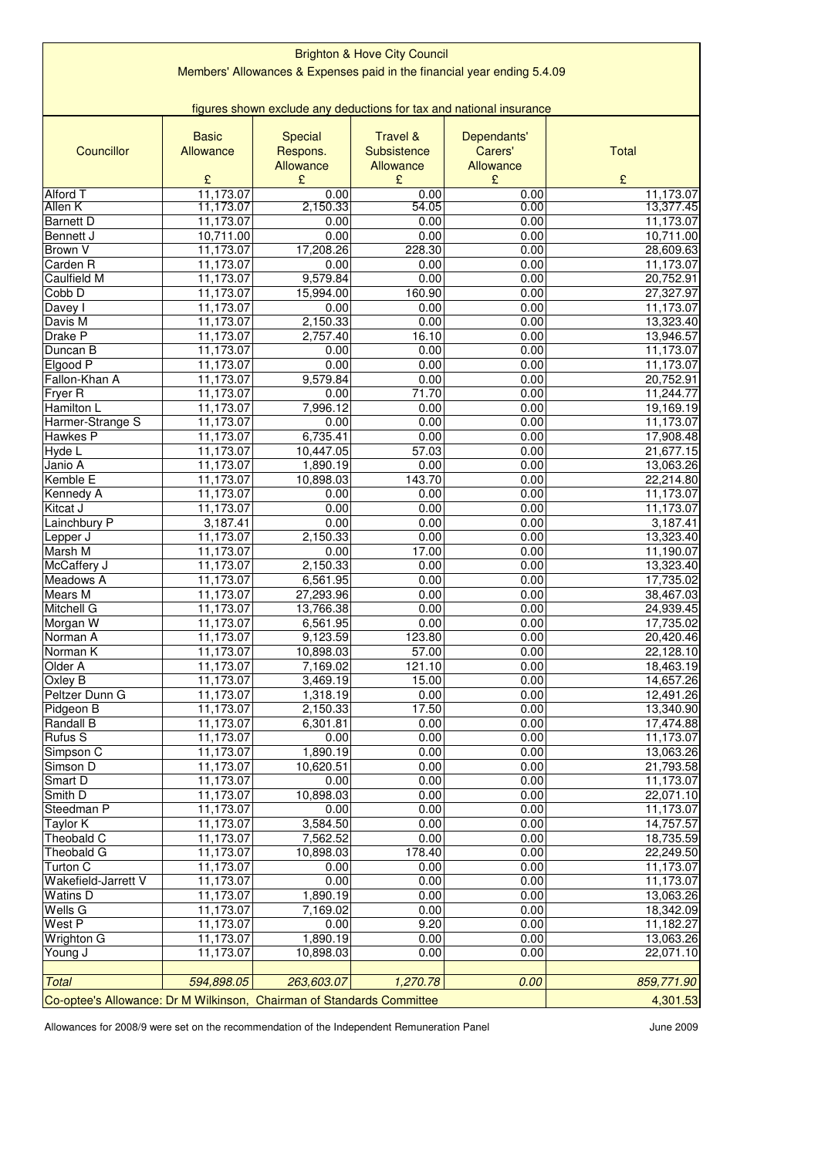| <b>Brighton &amp; Hove City Council</b>                                 |                        |                       |                     |                |                        |  |  |
|-------------------------------------------------------------------------|------------------------|-----------------------|---------------------|----------------|------------------------|--|--|
| Members' Allowances & Expenses paid in the financial year ending 5.4.09 |                        |                       |                     |                |                        |  |  |
|                                                                         |                        |                       |                     |                |                        |  |  |
| figures shown exclude any deductions for tax and national insurance     |                        |                       |                     |                |                        |  |  |
|                                                                         | <b>Basic</b>           | <b>Special</b>        | <b>Travel &amp;</b> | Dependants'    |                        |  |  |
| Councillor                                                              | Allowance              | Respons.              | Subsistence         | Carers'        | <b>Total</b>           |  |  |
|                                                                         | £                      | Allowance<br>£        | Allowance<br>£      | Allowance<br>£ | £                      |  |  |
| Alford T                                                                | 11,173.07              | 0.00                  | 0.00                | 0.00           | 11,173.07              |  |  |
| Allen K                                                                 | 11,173.07              | 2,150.33              | 54.05               | 0.00           | 13,377.45              |  |  |
| <b>Barnett D</b>                                                        | 11,173.07              | 0.00                  | 0.00                | 0.00           | 11,173.07              |  |  |
| Bennett J                                                               | 10,711.00              | 0.00                  | 0.00                | 0.00           | 10,711.00              |  |  |
| Brown V                                                                 | 11,173.07              | 17,208.26<br>0.00     | 228.30<br>0.00      | 0.00<br>0.00   | 28,609.63              |  |  |
| Carden <sub>R</sub><br><b>Caulfield M</b>                               | 11,173.07<br>11,173.07 | 9,579.84              | 0.00                | 0.00           | 11,173.07<br>20,752.91 |  |  |
| Cobb <sub>D</sub>                                                       | 11,173.07              | 15,994.00             | 160.90              | 0.00           | 27,327.97              |  |  |
| Davey I                                                                 | 11,173.07              | 0.00                  | 0.00                | 0.00           | 11,173.07              |  |  |
| Davis M                                                                 | 11,173.07              | 2,150.33              | 0.00                | 0.00           | 13,323.40              |  |  |
| Drake P                                                                 | 11,173.07              | 2,757.40              | 16.10               | 0.00           | 13,946.57              |  |  |
| Duncan B                                                                | 11,173.07              | 0.00                  | 0.00                | 0.00           | 11,173.07              |  |  |
| Elgood P<br>Fallon-Khan A                                               | 11,173.07<br>11,173.07 | 0.00<br>9,579.84      | 0.00<br>0.00        | 0.00<br>0.00   | 11,173.07<br>20,752.91 |  |  |
| Fryer R                                                                 | 11,173.07              | 0.00                  | 71.70               | 0.00           | 11,244.77              |  |  |
| <b>Hamilton L</b>                                                       | 11,173.07              | 7,996.12              | 0.00                | 0.00           | 19,169.19              |  |  |
| Harmer-Strange S                                                        | 11,173.07              | 0.00                  | 0.00                | 0.00           | 11,173.07              |  |  |
| <b>Hawkes P</b>                                                         | 11,173.07              | 6,735.41              | 0.00                | 0.00           | 17,908.48              |  |  |
| Hyde L                                                                  | 11,173.07              | 10,447.05             | 57.03               | 0.00           | 21,677.15              |  |  |
| Janio A                                                                 | 11,173.07              | 1,890.19              | 0.00                | 0.00           | 13,063.26              |  |  |
| <b>Kemble E</b>                                                         | 11,173.07<br>11,173.07 | 10,898.03<br>0.00     | 143.70<br>0.00      | 0.00<br>0.00   | 22,214.80<br>11,173.07 |  |  |
| Kennedy A<br>Kitcat J                                                   | 11,173.07              | 0.00                  | 0.00                | 0.00           | 11,173.07              |  |  |
| Lainchbury P                                                            | 3,187.41               | 0.00                  | 0.00                | 0.00           | 3,187.41               |  |  |
| Lepper J                                                                | 11,173.07              | 2,150.33              | 0.00                | 0.00           | 13,323.40              |  |  |
| Marsh M                                                                 | 11,173.07              | 0.00                  | 17.00               | 0.00           | 11,190.07              |  |  |
| McCaffery J                                                             | 11,173.07              | 2,150.33              | 0.00                | 0.00           | 13,323.40              |  |  |
| Meadows A<br>Mears M                                                    | 11,173.07<br>11,173.07 | 6,561.95<br>27,293.96 | 0.00<br>0.00        | 0.00<br>0.00   | 17,735.02              |  |  |
| Mitchell G                                                              | 11,173.07              | 13,766.38             | 0.00                | 0.00           | 38,467.03<br>24,939.45 |  |  |
| Morgan W                                                                | 11,173.07              | 6,561.95              | 0.00                | 0.00           | 17,735.02              |  |  |
| Norman A                                                                | 11,173.07              | 9,123.59              | 123.80              | 0.00           | 20,420.46              |  |  |
| Norman <sub>K</sub>                                                     | 11,173.07              | 10,898.03             | 57.00               | 0.00           | 22,128.10              |  |  |
| Older A                                                                 | 11,173.07              | 7,169.02              | 121.10              | 0.00           | 18,463.19              |  |  |
| Oxley B                                                                 | 11,173.07              | 3,469.19              | 15.00               | 0.00           | 14,657.26              |  |  |
| Peltzer Dunn G<br>Pidgeon B                                             | 11,173.07<br>11,173.07 | 1,318.19<br>2,150.33  | 0.00<br>17.50       | 0.00<br>0.00   | 12,491.26<br>13,340.90 |  |  |
| Randall B                                                               | 11,173.07              | 6,301.81              | 0.00                | 0.00           | 17,474.88              |  |  |
| <b>Rufus S</b>                                                          | 11,173.07              | 0.00                  | 0.00                | 0.00           | 11,173.07              |  |  |
| Simpson C                                                               | 11,173.07              | 1,890.19              | 0.00                | 0.00           | 13,063.26              |  |  |
| Simson D                                                                | 11,173.07              | 10,620.51             | 0.00                | 0.00           | 21,793.58              |  |  |
| Smart D                                                                 | 11,173.07              | 0.00                  | 0.00                | 0.00           | 11,173.07              |  |  |
| Smith D<br>Steedman P                                                   | 11,173.07<br>11,173.07 | 10,898.03<br>0.00     | 0.00<br>0.00        | 0.00<br>0.00   | 22,071.10<br>11,173.07 |  |  |
| <b>Taylor K</b>                                                         | 11,173.07              | 3,584.50              | 0.00                | 0.00           | 14,757.57              |  |  |
| Theobald C                                                              | 11,173.07              | 7,562.52              | 0.00                | 0.00           | 18,735.59              |  |  |
| Theobald G                                                              | 11,173.07              | 10,898.03             | 178.40              | 0.00           | 22,249.50              |  |  |
| Turton C                                                                | 11,173.07              | 0.00                  | 0.00                | 0.00           | 11,173.07              |  |  |
| Wakefield-Jarrett V                                                     | 11,173.07              | 0.00                  | 0.00                | 0.00           | 11,173.07              |  |  |
| <b>Watins D</b>                                                         | 11,173.07              | 1,890.19              | 0.00                | 0.00           | 13,063.26              |  |  |
| Wells G<br>West P                                                       | 11,173.07<br>11,173.07 | 7,169.02<br>0.00      | 0.00<br>9.20        | 0.00<br>0.00   | 18,342.09<br>11,182.27 |  |  |
| <b>Wrighton G</b>                                                       | 11,173.07              | 1,890.19              | 0.00                | 0.00           | 13,063.26              |  |  |
| Young J                                                                 | 11,173.07              | 10,898.03             | 0.00                | 0.00           | 22,071.10              |  |  |
| <b>Total</b>                                                            | 594,898.05             | 263,603.07            | 1,270.78            | 0.00           | 859,771.90             |  |  |
| Co-optee's Allowance: Dr M Wilkinson, Chairman of Standards Committee   |                        |                       |                     |                | 4,301.53               |  |  |
|                                                                         |                        |                       |                     |                |                        |  |  |

Allowances for 2008/9 were set on the recommendation of the Independent Remuneration Panel

June 2009